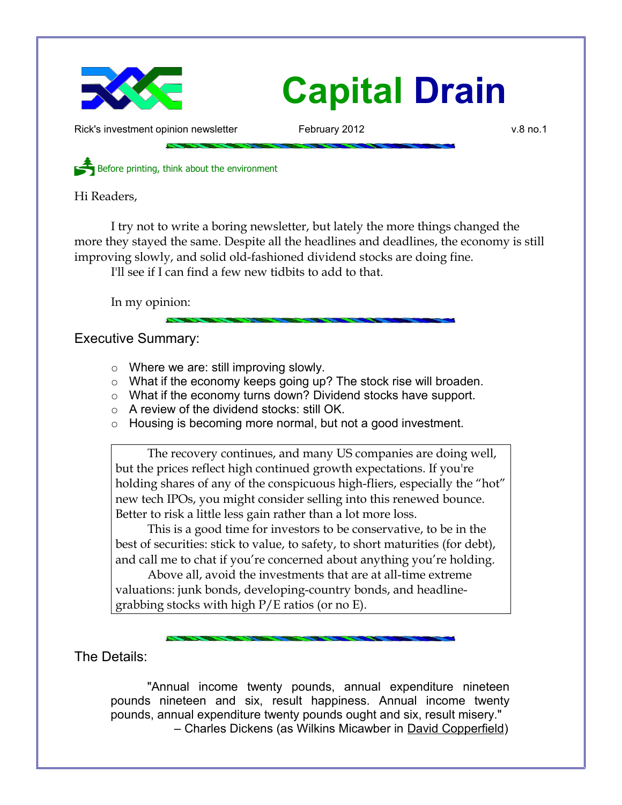

Rick's investment opinion newsletter February 2012 and the state of the v.8 no.1

Before printing, think about the environment

Hi Readers,

I try not to write a boring newsletter, but lately the more things changed the more they stayed the same. Despite all the headlines and deadlines, the economy is still improving slowly, and solid old-fashioned dividend stocks are doing fine.

I'll see if I can find a few new tidbits to add to that.

In my opinion:

Executive Summary:

- Where we are: still improving slowly.
- What if the economy keeps going up? The stock rise will broaden.
- What if the economy turns down? Dividend stocks have support.
- A review of the dividend stocks: still OK.
- Housing is becoming more normal, but not a good investment.

The recovery continues, and many US companies are doing well, but the prices reflect high continued growth expectations. If you're holding shares of any of the conspicuous high-fliers, especially the "hot" new tech IPOs, you might consider selling into this renewed bounce. Better to risk a little less gain rather than a lot more loss.

This is a good time for investors to be conservative, to be in the best of securities: stick to value, to safety, to short maturities (for debt), and call me to chat if you're concerned about anything you're holding.

Above all, avoid the investments that are at all-time extreme valuations: junk bonds, developing-country bonds, and headlinegrabbing stocks with high P/E ratios (or no E).

The Details:

"Annual income twenty pounds, annual expenditure nineteen pounds nineteen and six, result happiness. Annual income twenty pounds, annual expenditure twenty pounds ought and six, result misery." – Charles Dickens (as Wilkins Micawber in David Copperfield)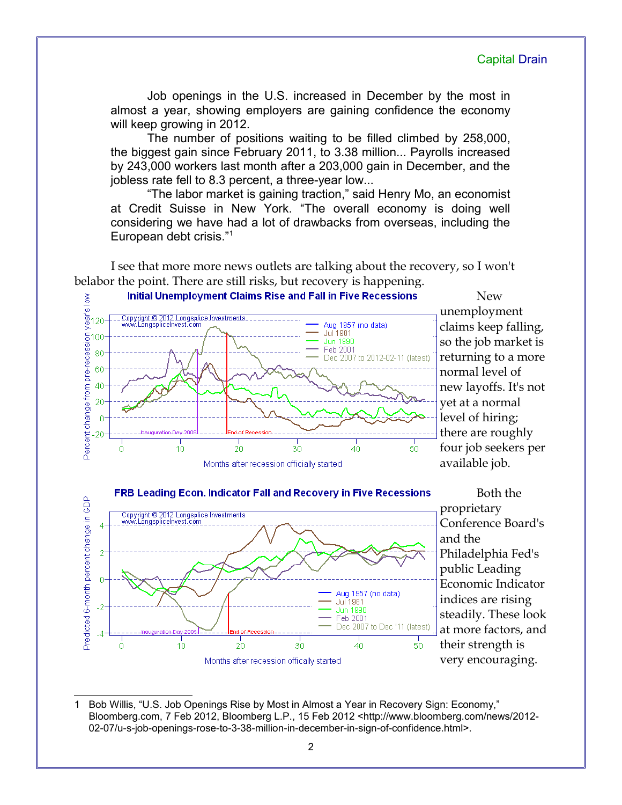Job openings in the U.S. increased in December by the most in almost a year, showing employers are gaining confidence the economy will keep growing in 2012.

The number of positions waiting to be filled climbed by 258,000, the biggest gain since February 2011, to 3.38 million... Payrolls increased by 243,000 workers last month after a 203,000 gain in December, and the jobless rate fell to 8.3 percent, a three-year low...

"The labor market is gaining traction," said Henry Mo, an economist at Credit Suisse in New York. "The overall economy is doing well considering we have had a lot of drawbacks from overseas, including the European debt crisis."[1](#page-1-0)

I see that more more news outlets are talking about the recovery, so I won't belabor the point. There are still risks, but recovery is happening.



New unemployment claims keep falling, so the job market is returning to a more normal level of new layoffs. It's not yet at a normal level of hiring; there are roughly four job seekers per available job.



Both the proprietary Conference Board's and the Philadelphia Fed's public Leading Economic Indicator indices are rising steadily. These look at more factors, and their strength is very encouraging.

<span id="page-1-0"></span><sup>1</sup> Bob Willis, "U.S. Job Openings Rise by Most in Almost a Year in Recovery Sign: Economy," Bloomberg.com, 7 Feb 2012, Bloomberg L.P., 15 Feb 2012 <http://www.bloomberg.com/news/2012- 02-07/u-s-job-openings-rose-to-3-38-million-in-december-in-sign-of-confidence.html>.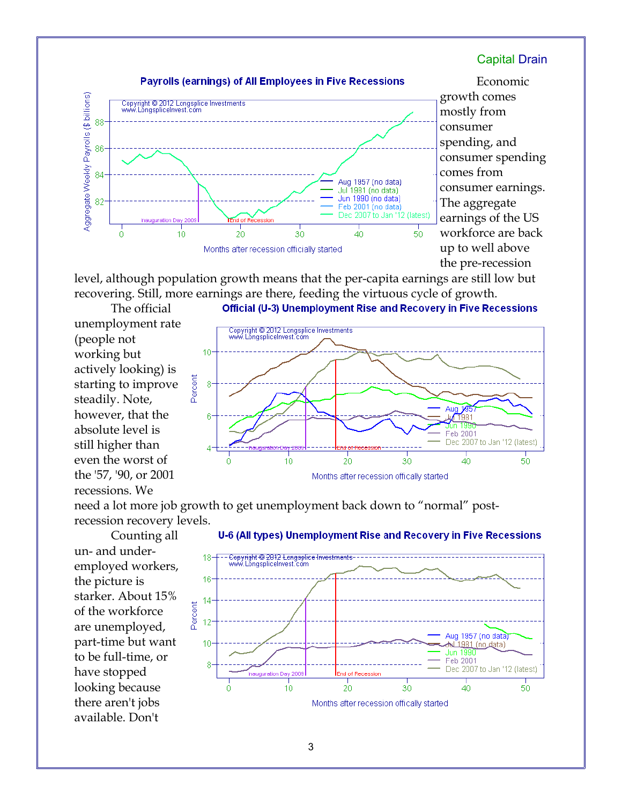

Economic growth comes mostly from consumer spending, and consumer spending comes from consumer earnings. The aggregate earnings of the US workforce are back up to well above the pre-recession

Aug

 $\overline{30}$ 

y<sup>7981</sup> Feb 2001

 $40$ 

Dec 2007 to Jan '12 (latest)

50

level, although population growth means that the per-capita earnings are still low but recovering. Still, more earnings are there, feeding the virtuous cycle of growth.

Copyright © 2012 Longsplice Investments<br>www.LongspliceInvest.com

 $10$ 

10

6

ſ.

Percent 8

The official unemployment rate (people not working but actively looking) is starting to improve steadily. Note, however, that the absolute level is still higher than even the worst of the '57, '90, or 2001 recessions. We





 $\overline{20}$ 

Counting all un- and underemployed workers, the picture is starker. About 15% of the workforce are unemployed, part-time but want to be full-time, or have stopped looking because there aren't jobs available. Don't

#### Capital Drain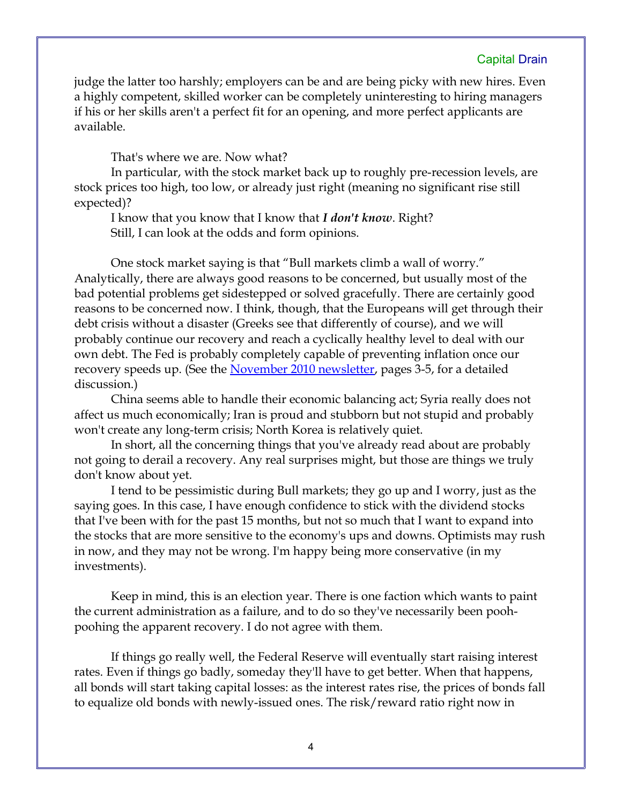judge the latter too harshly; employers can be and are being picky with new hires. Even a highly competent, skilled worker can be completely uninteresting to hiring managers if his or her skills aren't a perfect fit for an opening, and more perfect applicants are available.

That's where we are. Now what?

In particular, with the stock market back up to roughly pre-recession levels, are stock prices too high, too low, or already just right (meaning no significant rise still expected)?

I know that you know that I know that *I don't know*. Right? Still, I can look at the odds and form opinions.

One stock market saying is that "Bull markets climb a wall of worry." Analytically, there are always good reasons to be concerned, but usually most of the bad potential problems get sidestepped or solved gracefully. There are certainly good reasons to be concerned now. I think, though, that the Europeans will get through their debt crisis without a disaster (Greeks see that differently of course), and we will probably continue our recovery and reach a cyclically healthy level to deal with our own debt. The Fed is probably completely capable of preventing inflation once our recovery speeds up. (See the [November 2010 newsletter,](http://www.longspliceinvest.com/CapDrain/CapDrain_v6n4.pdf) pages 3-5, for a detailed discussion.)

China seems able to handle their economic balancing act; Syria really does not affect us much economically; Iran is proud and stubborn but not stupid and probably won't create any long-term crisis; North Korea is relatively quiet.

In short, all the concerning things that you've already read about are probably not going to derail a recovery. Any real surprises might, but those are things we truly don't know about yet.

I tend to be pessimistic during Bull markets; they go up and I worry, just as the saying goes. In this case, I have enough confidence to stick with the dividend stocks that I've been with for the past 15 months, but not so much that I want to expand into the stocks that are more sensitive to the economy's ups and downs. Optimists may rush in now, and they may not be wrong. I'm happy being more conservative (in my investments).

Keep in mind, this is an election year. There is one faction which wants to paint the current administration as a failure, and to do so they've necessarily been poohpoohing the apparent recovery. I do not agree with them.

If things go really well, the Federal Reserve will eventually start raising interest rates. Even if things go badly, someday they'll have to get better. When that happens, all bonds will start taking capital losses: as the interest rates rise, the prices of bonds fall to equalize old bonds with newly-issued ones. The risk/reward ratio right now in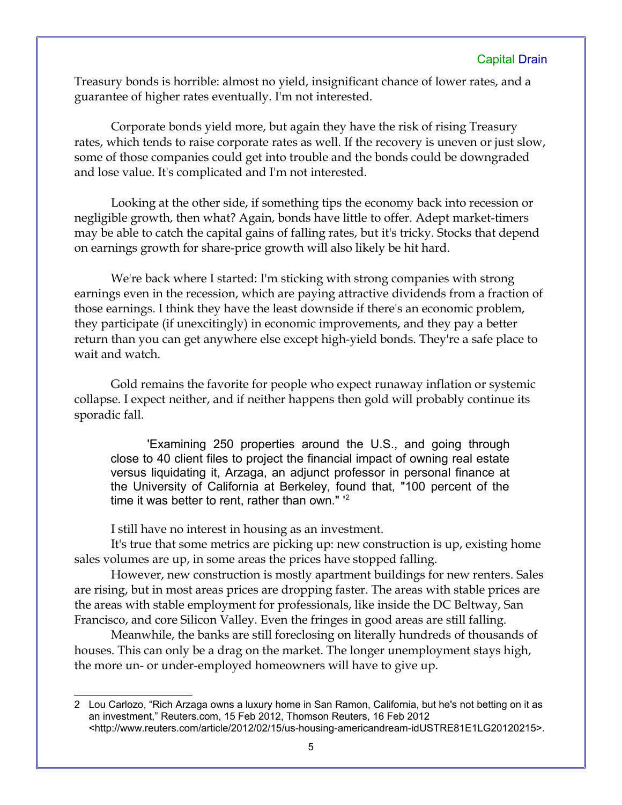Treasury bonds is horrible: almost no yield, insignificant chance of lower rates, and a guarantee of higher rates eventually. I'm not interested.

Corporate bonds yield more, but again they have the risk of rising Treasury rates, which tends to raise corporate rates as well. If the recovery is uneven or just slow, some of those companies could get into trouble and the bonds could be downgraded and lose value. It's complicated and I'm not interested.

Looking at the other side, if something tips the economy back into recession or negligible growth, then what? Again, bonds have little to offer. Adept market-timers may be able to catch the capital gains of falling rates, but it's tricky. Stocks that depend on earnings growth for share-price growth will also likely be hit hard.

We're back where I started: I'm sticking with strong companies with strong earnings even in the recession, which are paying attractive dividends from a fraction of those earnings. I think they have the least downside if there's an economic problem, they participate (if unexcitingly) in economic improvements, and they pay a better return than you can get anywhere else except high-yield bonds. They're a safe place to wait and watch.

Gold remains the favorite for people who expect runaway inflation or systemic collapse. I expect neither, and if neither happens then gold will probably continue its sporadic fall.

'Examining 250 properties around the U.S., and going through close to 40 client files to project the financial impact of owning real estate versus liquidating it, Arzaga, an adjunct professor in personal finance at the University of California at Berkeley, found that, "100 percent of the time it was better to rent, rather than own." '[2](#page-4-0)

I still have no interest in housing as an investment.

It's true that some metrics are picking up: new construction is up, existing home sales volumes are up, in some areas the prices have stopped falling.

However, new construction is mostly apartment buildings for new renters. Sales are rising, but in most areas prices are dropping faster. The areas with stable prices are the areas with stable employment for professionals, like inside the DC Beltway, San Francisco, and core Silicon Valley. Even the fringes in good areas are still falling.

Meanwhile, the banks are still foreclosing on literally hundreds of thousands of houses. This can only be a drag on the market. The longer unemployment stays high, the more un- or under-employed homeowners will have to give up.

<span id="page-4-0"></span><sup>2</sup> Lou Carlozo, "Rich Arzaga owns a luxury home in San Ramon, California, but he's not betting on it as an investment," Reuters.com, 15 Feb 2012, Thomson Reuters, 16 Feb 2012 <http://www.reuters.com/article/2012/02/15/us-housing-americandream-idUSTRE81E1LG20120215>.